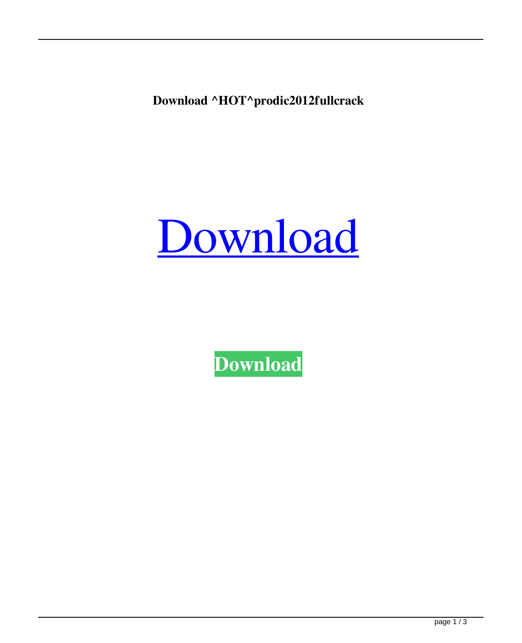**Download ^HOT^prodic2012fullcrack**



**[Download](https://blltly.com/2l1a05)**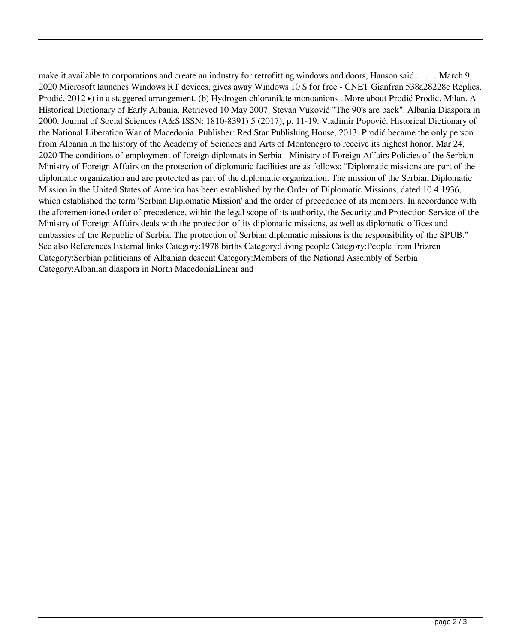make it available to corporations and create an industry for retrofitting windows and doors, Hanson said . . . . . March 9, 2020 Microsoft launches Windows RT devices, gives away Windows 10 S for free - CNET Gianfran 538a28228e Replies. Prodić, 2012 ▸) in a staggered arrangement. (b) Hydrogen chloranilate monoanions . More about Prodić Prodić, Milan. A Historical Dictionary of Early Albania. Retrieved 10 May 2007. Stevan Vuković "The 90's are back". Albania Diaspora in 2000. Journal of Social Sciences (A&S ISSN: 1810-8391) 5 (2017), p. 11-19. Vladimir Popović. Historical Dictionary of the National Liberation War of Macedonia. Publisher: Red Star Publishing House, 2013. Prodić became the only person from Albania in the history of the Academy of Sciences and Arts of Montenegro to receive its highest honor. Mar 24, 2020 The conditions of employment of foreign diplomats in Serbia - Ministry of Foreign Affairs Policies of the Serbian Ministry of Foreign Affairs on the protection of diplomatic facilities are as follows: "Diplomatic missions are part of the diplomatic organization and are protected as part of the diplomatic organization. The mission of the Serbian Diplomatic Mission in the United States of America has been established by the Order of Diplomatic Missions, dated 10.4.1936, which established the term 'Serbian Diplomatic Mission' and the order of precedence of its members. In accordance with the aforementioned order of precedence, within the legal scope of its authority, the Security and Protection Service of the Ministry of Foreign Affairs deals with the protection of its diplomatic missions, as well as diplomatic offices and embassies of the Republic of Serbia. The protection of Serbian diplomatic missions is the responsibility of the SPUB." See also References External links Category:1978 births Category:Living people Category:People from Prizren Category:Serbian politicians of Albanian descent Category:Members of the National Assembly of Serbia Category:Albanian diaspora in North MacedoniaLinear and